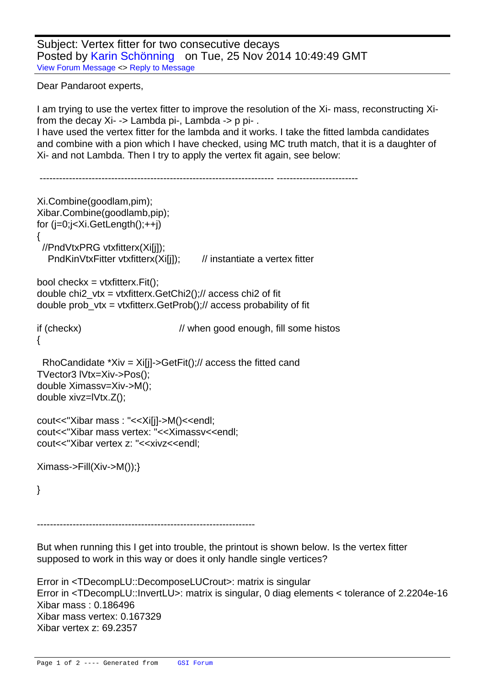Subject: Vertex fitter for two consecutive decays Posted by Karin Schönning on Tue, 25 Nov 2014 10:49:49 GMT View Forum Message <> Reply to Message

Dear Pandaroot experts,

```
I am trying to use the vertex fitter to improve the resolution of the Xi- mass, reconstructing Xi-
from the decay Xi-> Lambda pi-, Lambda -> p pi-.
```
I have used the vertex fitter for the lambda and it works. I take the fitted lambda candidates and combine with a pion which I have checked, using MC truth match, that it is a daughter of Xi- and not Lambda. Then I try to apply the vertex fit again, see below:

```
 ------------------------------------------------------------------------ -------------------------
	Xi.Combine(goodlam,pim);
 		Xibar.Combine(goodlamb,pip);
 		for (j=0;j<Xi.GetLength();++j) 
 		{
  		 //PndVtxPRG vtxfitterx(Xi[j]); 
   PndKinVtxFitter vtxfitterx(Xi[j]); \frac{1}{1} instantiate a vertex fitter
 bool checkx = vtxfitterx.Fit();
 double chi2 vtx = vtxfitterx.GetChi2(); // access chi2 of fit
 double prob_vtx = vtxfitterx.GetProb(); // access probability of fit
 if (checkx) \frac{1}{2} when good enough, fill some histos
 			{
   RhoCandidate *Xiv = Xi[i]->GetFit(); // access the fitted cand
  				TVector3 lVtx=Xiv->Pos();
  				double Ximassv=Xiv->M();
  				double xivz=lVtx.Z();
  				cout<<"Xibar mass : "<<Xi[j]->M()<<endl;	
  				cout<<"Xibar mass vertex: "<<Ximassv<<endl;
  cout<<"Xibar vertex z: "<<xivz<<endl;
  Ximass->Fill(Xiv->M));}
 		}
```
-------------------------------------------------------------------

But when running this I get into trouble, the printout is shown below. Is the vertex fitter supposed to work in this way or does it only handle single vertices?

Error in <TDecompLU::DecomposeLUCrout>: matrix is singular Error in <TDecompLU::InvertLU>: matrix is singular, 0 diag elements < tolerance of 2.2204e-16 Xibar mass : 0.186496 Xibar mass vertex: 0.167329 Xibar vertex z: 69.2357